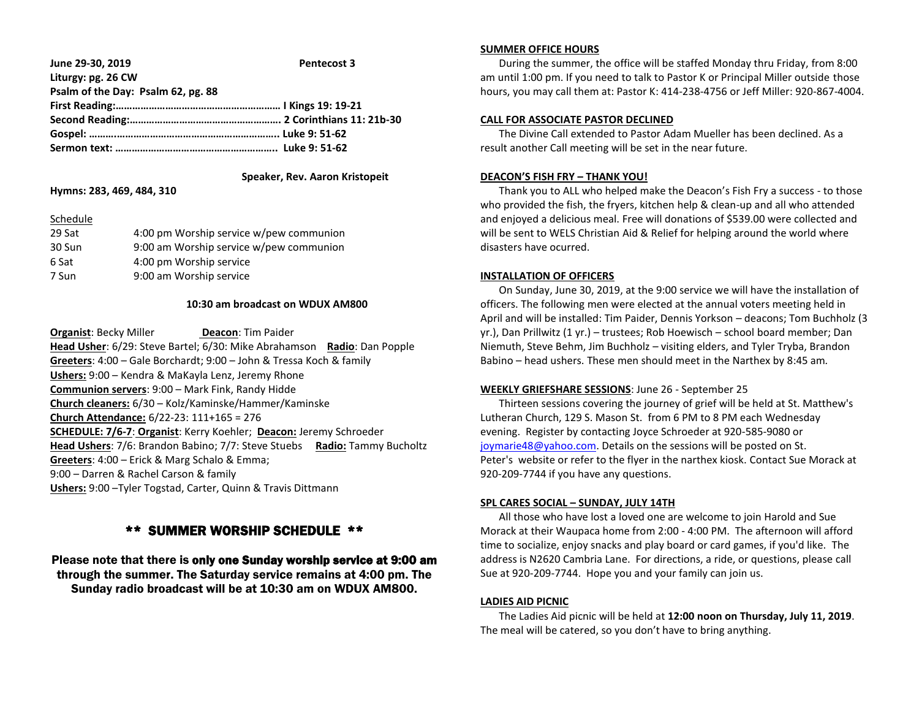| June 29-30, 2019                   | <b>Pentecost 3</b> |
|------------------------------------|--------------------|
| Liturgy: pg. 26 CW                 |                    |
| Psalm of the Day: Psalm 62, pg. 88 |                    |
|                                    |                    |
|                                    |                    |
|                                    |                    |
|                                    |                    |
|                                    |                    |

## **Speaker, Rev. Aaron Kristopeit Hymns: 283, 469, 484, 310**

#### Schedule

| 29 Sat | 4:00 pm Worship service w/pew communion |
|--------|-----------------------------------------|
| 30 Sun | 9:00 am Worship service w/pew communion |
| 6 Sat  | 4:00 pm Worship service                 |
| 7 Sun  | 9:00 am Worship service                 |

#### **10:30 am broadcast on WDUX AM800**

**Organist: Becky Miller <b>Deacon**: Tim Paider **Head Usher**: 6/29: Steve Bartel; 6/30: Mike Abrahamson **Radio**: Dan Popple **Greeters**: 4:00 – Gale Borchardt; 9:00 – John & Tressa Koch & family **Ushers:** 9:00 – Kendra & MaKayla Lenz, Jeremy Rhone **Communion servers**: 9:00 – Mark Fink, Randy Hidde **Church cleaners:** 6/30 – Kolz/Kaminske/Hammer/Kaminske **Church Attendance:** 6/22-23: 111+165 = 276 **SCHEDULE: 7/6-7**: **Organist**: Kerry Koehler; **Deacon:** Jeremy Schroeder **Head Ushers**: 7/6: Brandon Babino; 7/7: Steve Stuebs **Radio:** Tammy Bucholtz **Greeters**: 4:00 – Erick & Marg Schalo & Emma; 9:00 – Darren & Rachel Carson & family **Ushers:** 9:00 –Tyler Togstad, Carter, Quinn & Travis Dittmann

# \*\* SUMMER WORSHIP SCHEDULE \*\*

Please note that there is only one Sunday worship service at 9:00 am through the summer. The Saturday service remains at 4:00 pm. The Sunday radio broadcast will be at 10:30 am on WDUX AM800.

#### **SUMMER OFFICE HOURS**

 During the summer, the office will be staffed Monday thru Friday, from 8:00 am until 1:00 pm. If you need to talk to Pastor K or Principal Miller outside those hours, you may call them at: Pastor K: 414-238-4756 or Jeff Miller: 920-867-4004.

## **CALL FOR ASSOCIATE PASTOR DECLINED**

 The Divine Call extended to Pastor Adam Mueller has been declined. As a result another Call meeting will be set in the near future.

## **DEACON'S FISH FRY – THANK YOU!**

 Thank you to ALL who helped make the Deacon's Fish Fry a success - to those who provided the fish, the fryers, kitchen help & clean-up and all who attended and enjoyed a delicious meal. Free will donations of \$539.00 were collected and will be sent to WELS Christian Aid & Relief for helping around the world where disasters have ocurred.

## **INSTALLATION OF OFFICERS**

 On Sunday, June 30, 2019, at the 9:00 service we will have the installation of officers. The following men were elected at the annual voters meeting held in April and will be installed: Tim Paider, Dennis Yorkson – deacons; Tom Buchholz (3 yr.), Dan Prillwitz (1 yr.) – trustees; Rob Hoewisch – school board member; Dan Niemuth, Steve Behm, Jim Buchholz – visiting elders, and Tyler Tryba, Brandon Babino – head ushers. These men should meet in the Narthex by 8:45 am*.*

# **WEEKLY GRIEFSHARE SESSIONS**: June 26 - September 25

 Thirteen sessions covering the journey of grief will be held at St. Matthew's Lutheran Church, 129 S. Mason St. from 6 PM to 8 PM each Wednesday evening. Register by contacting Joyce Schroeder at 920-585-9080 or [joymarie48@yahoo.com.](mailto:joymarie48@yahoo.com) Details on the sessions will be posted on St. Peter's website or refer to the flyer in the narthex kiosk. Contact Sue Morack at 920-209-7744 if you have any questions.

#### **SPL CARES SOCIAL – SUNDAY, JULY 14TH**

 All those who have lost a loved one are welcome to join Harold and Sue Morack at their Waupaca home from 2:00 - 4:00 PM. The afternoon will afford time to socialize, enjoy snacks and play board or card games, if you'd like. The address is N2620 Cambria Lane. For directions, a ride, or questions, please call Sue at 920-209-7744. Hope you and your family can join us.

#### **LADIES AID PICNIC**

 The Ladies Aid picnic will be held at **12:00 noon on Thursday, July 11, 2019**. The meal will be catered, so you don't have to bring anything.